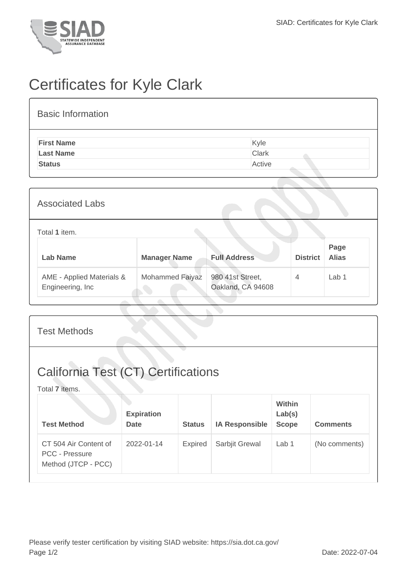

## Certificates for Kyle Clark

| <b>Basic Information</b> |              |
|--------------------------|--------------|
| <b>First Name</b>        | Kyle         |
| <b>Last Name</b>         | <b>Clark</b> |
| <b>Status</b>            | Active       |

| <b>Associated Labs</b>                         |                     |                                       |                 |                      |
|------------------------------------------------|---------------------|---------------------------------------|-----------------|----------------------|
| Total 1 item.                                  |                     |                                       |                 |                      |
| <b>Lab Name</b>                                | <b>Manager Name</b> | <b>Full Address</b>                   | <b>District</b> | Page<br><b>Alias</b> |
| AME - Applied Materials &<br>Engineering, Inc. | Mohammed Faiyaz     | 980 41st Street,<br>Oakland, CA 94608 | 4               | Lab 1                |

| <b>Test Methods</b>                                                   |                                  |                |                       |                                  |                 |  |
|-----------------------------------------------------------------------|----------------------------------|----------------|-----------------------|----------------------------------|-----------------|--|
| <b>California Test (CT) Certifications</b><br>Total 7 items.          |                                  |                |                       |                                  |                 |  |
| <b>Test Method</b>                                                    | <b>Expiration</b><br><b>Date</b> | <b>Status</b>  | <b>IA Responsible</b> | Within<br>Lab(s)<br><b>Scope</b> | <b>Comments</b> |  |
| CT 504 Air Content of<br><b>PCC - Pressure</b><br>Method (JTCP - PCC) | 2022-01-14                       | <b>Expired</b> | Sarbjit Grewal        | Lab 1                            | (No comments)   |  |